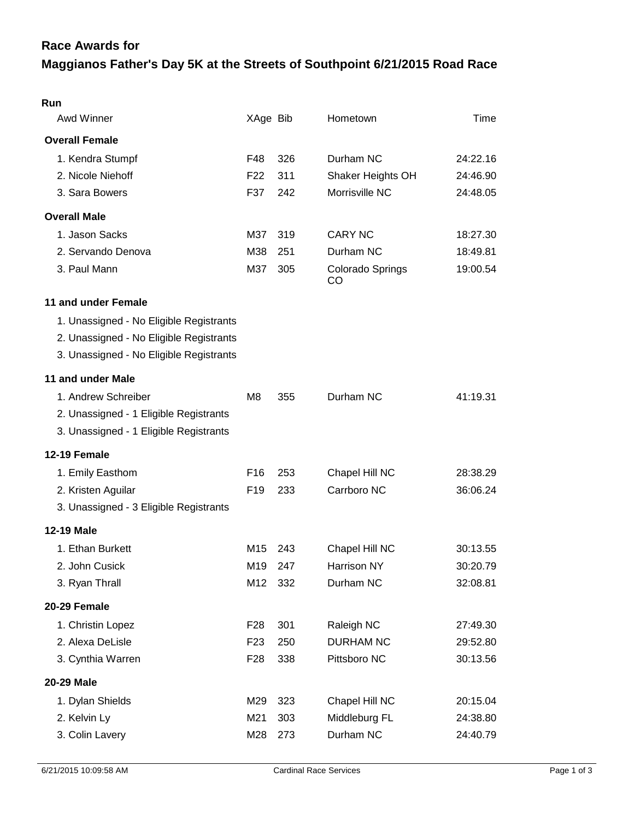## **Maggianos Father's Day 5K at the Streets of Southpoint 6/21/2015 Road Race Race Awards for**

| Run                                     |                 |     |                        |          |
|-----------------------------------------|-----------------|-----|------------------------|----------|
| Awd Winner                              | XAge Bib        |     | Hometown               | Time     |
| <b>Overall Female</b>                   |                 |     |                        |          |
| 1. Kendra Stumpf                        | F48             | 326 | Durham NC              | 24:22.16 |
| 2. Nicole Niehoff                       | F <sub>22</sub> | 311 | Shaker Heights OH      | 24:46.90 |
| 3. Sara Bowers                          | F37             | 242 | Morrisville NC         | 24:48.05 |
| <b>Overall Male</b>                     |                 |     |                        |          |
| 1. Jason Sacks                          | M37             | 319 | <b>CARY NC</b>         | 18:27.30 |
| 2. Servando Denova                      | M38             | 251 | Durham NC              | 18:49.81 |
| 3. Paul Mann                            | M37             | 305 | Colorado Springs<br>CO | 19:00.54 |
| 11 and under Female                     |                 |     |                        |          |
| 1. Unassigned - No Eligible Registrants |                 |     |                        |          |
| 2. Unassigned - No Eligible Registrants |                 |     |                        |          |
| 3. Unassigned - No Eligible Registrants |                 |     |                        |          |
| 11 and under Male                       |                 |     |                        |          |
| 1. Andrew Schreiber                     | M8              | 355 | Durham NC              | 41:19.31 |
| 2. Unassigned - 1 Eligible Registrants  |                 |     |                        |          |
| 3. Unassigned - 1 Eligible Registrants  |                 |     |                        |          |
| 12-19 Female                            |                 |     |                        |          |
| 1. Emily Easthom                        | F <sub>16</sub> | 253 | Chapel Hill NC         | 28:38.29 |
| 2. Kristen Aguilar                      | F <sub>19</sub> | 233 | Carrboro NC            | 36:06.24 |
| 3. Unassigned - 3 Eligible Registrants  |                 |     |                        |          |
| <b>12-19 Male</b>                       |                 |     |                        |          |
| 1. Ethan Burkett                        | M15             | 243 | Chapel Hill NC         | 30:13.55 |
| 2. John Cusick                          | M19             | 247 | Harrison NY            | 30:20.79 |
| 3. Ryan Thrall                          | M12             | 332 | Durham NC              | 32:08.81 |
| 20-29 Female                            |                 |     |                        |          |
| 1. Christin Lopez                       | F <sub>28</sub> | 301 | Raleigh NC             | 27:49.30 |
| 2. Alexa DeLisle                        | F <sub>23</sub> | 250 | <b>DURHAM NC</b>       | 29:52.80 |
| 3. Cynthia Warren                       | F <sub>28</sub> | 338 | Pittsboro NC           | 30:13.56 |
| 20-29 Male                              |                 |     |                        |          |
| 1. Dylan Shields                        | M29             | 323 | Chapel Hill NC         | 20:15.04 |
| 2. Kelvin Ly                            | M21             | 303 | Middleburg FL          | 24:38.80 |
| 3. Colin Lavery                         | M28             | 273 | Durham NC              | 24:40.79 |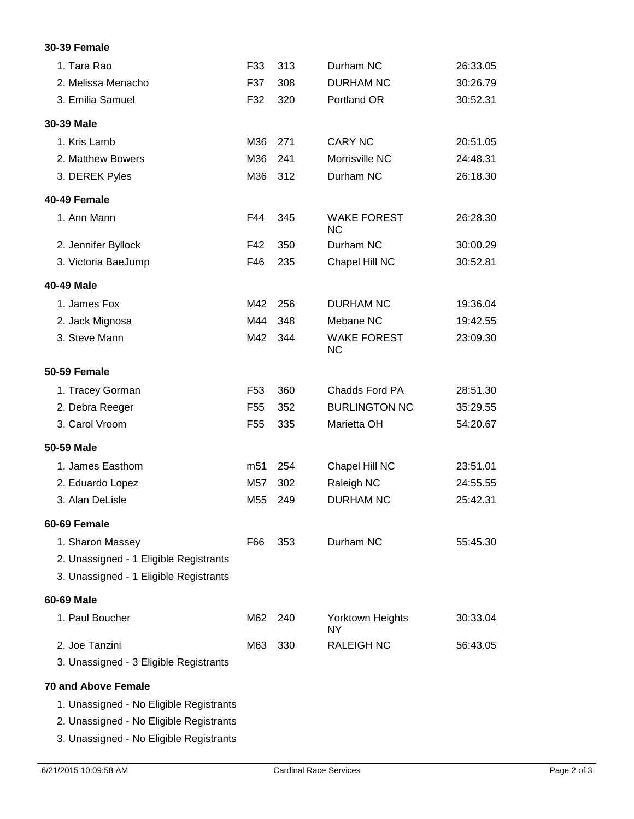## **30-39 Female**

| 1. Tara Rao                             | F33             | 313 | Durham NC                       | 26:33.05 |
|-----------------------------------------|-----------------|-----|---------------------------------|----------|
| 2. Melissa Menacho                      | F37             | 308 | <b>DURHAM NC</b>                | 30:26.79 |
| 3. Emilia Samuel                        | F32             | 320 | Portland OR                     | 30:52.31 |
| 30-39 Male                              |                 |     |                                 |          |
| 1. Kris Lamb                            | M36             | 271 | <b>CARY NC</b>                  | 20:51.05 |
| 2. Matthew Bowers                       | M36             | 241 | Morrisville NC                  | 24:48.31 |
| 3. DEREK Pyles                          | M36             | 312 | Durham NC                       | 26:18.30 |
| 40-49 Female                            |                 |     |                                 |          |
| 1. Ann Mann                             | F44             | 345 | <b>WAKE FOREST</b><br><b>NC</b> | 26:28.30 |
| 2. Jennifer Byllock                     | F42             | 350 | Durham NC                       | 30:00.29 |
| 3. Victoria BaeJump                     | F46             | 235 | Chapel Hill NC                  | 30:52.81 |
| 40-49 Male                              |                 |     |                                 |          |
| 1. James Fox                            | M42             | 256 | <b>DURHAM NC</b>                | 19:36.04 |
| 2. Jack Mignosa                         | M44             | 348 | Mebane NC                       | 19:42.55 |
| 3. Steve Mann                           | M42             | 344 | <b>WAKE FOREST</b><br>NC        | 23:09.30 |
| <b>50-59 Female</b>                     |                 |     |                                 |          |
| 1. Tracey Gorman                        | F <sub>53</sub> | 360 | Chadds Ford PA                  | 28:51.30 |
| 2. Debra Reeger                         | F <sub>55</sub> | 352 | <b>BURLINGTON NC</b>            | 35:29.55 |
| 3. Carol Vroom                          | F <sub>55</sub> | 335 | Marietta OH                     | 54:20.67 |
| 50-59 Male                              |                 |     |                                 |          |
| 1. James Easthom                        | m <sub>51</sub> | 254 | Chapel Hill NC                  | 23:51.01 |
| 2. Eduardo Lopez                        | M57             | 302 | Raleigh NC                      | 24:55.55 |
| 3. Alan DeLisle                         | M <sub>55</sub> | 249 | <b>DURHAM NC</b>                | 25:42.31 |
| 60-69 Female                            |                 |     |                                 |          |
| 1. Sharon Massey                        | F66             | 353 | Durham NC                       | 55:45.30 |
| 2. Unassigned - 1 Eligible Registrants  |                 |     |                                 |          |
| 3. Unassigned - 1 Eligible Registrants  |                 |     |                                 |          |
| 60-69 Male                              |                 |     |                                 |          |
| 1. Paul Boucher                         | M62             | 240 | Yorktown Heights<br>NY.         | 30:33.04 |
| 2. Joe Tanzini                          | M63             | 330 | <b>RALEIGH NC</b>               | 56:43.05 |
| 3. Unassigned - 3 Eligible Registrants  |                 |     |                                 |          |
| <b>70 and Above Female</b>              |                 |     |                                 |          |
| 1. Unassigned - No Eligible Registrants |                 |     |                                 |          |
| 2. Unassigned - No Eligible Registrants |                 |     |                                 |          |
| 3. Unassigned - No Eligible Registrants |                 |     |                                 |          |